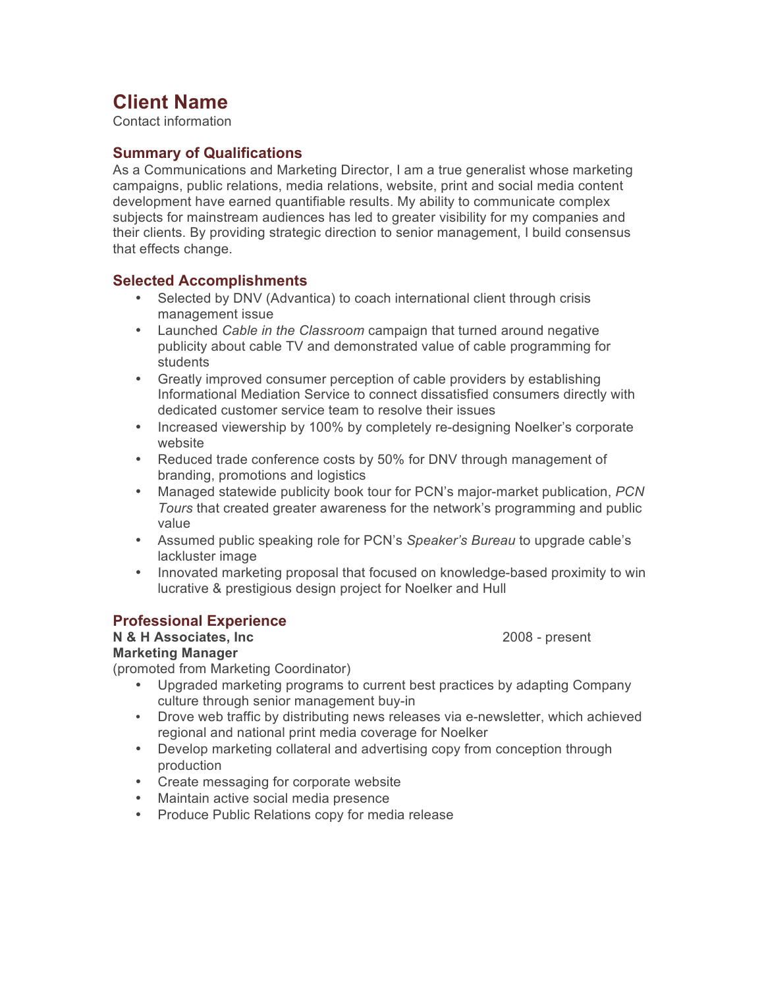# **Client Name**

Contact information

#### **Summary of Qualifications**

As a Communications and Marketing Director, I am a true generalist whose marketing campaigns, public relations, media relations, website, print and social media content development have earned quantifiable results. My ability to communicate complex subjects for mainstream audiences has led to greater visibility for my companies and their clients. By providing strategic direction to senior management, I build consensus that effects change.

#### **Selected Accomplishments**

- Selected by DNV (Advantica) to coach international client through crisis management issue
- Launched *Cable in the Classroom* campaign that turned around negative publicity about cable TV and demonstrated value of cable programming for students
- Greatly improved consumer perception of cable providers by establishing Informational Mediation Service to connect dissatisfied consumers directly with dedicated customer service team to resolve their issues
- Increased viewership by 100% by completely re-designing Noelker's corporate website
- Reduced trade conference costs by 50% for DNV through management of branding, promotions and logistics
- Managed statewide publicity book tour for PCN's major-market publication, *PCN Tours* that created greater awareness for the network's programming and public value
- Assumed public speaking role for PCN's *Speaker's Bureau* to upgrade cable's lackluster image
- Innovated marketing proposal that focused on knowledge-based proximity to win lucrative & prestigious design project for Noelker and Hull

#### **Professional Experience**

**N & H Associates, Inc** 2008 - present

#### **Marketing Manager**

(promoted from Marketing Coordinator)

- Upgraded marketing programs to current best practices by adapting Company culture through senior management buy-in
- Drove web traffic by distributing news releases via e-newsletter, which achieved regional and national print media coverage for Noelker
- Develop marketing collateral and advertising copy from conception through production
- Create messaging for corporate website
- Maintain active social media presence
- Produce Public Relations copy for media release